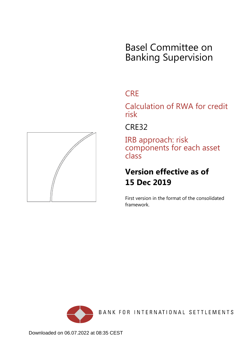# Basel Committee on Banking Supervision

## **CRE**

Calculation of RWA for credit risk

CRE32

IRB approach: risk components for each asset class

## **Version effective as of 15 Dec 2019**

First version in the format of the consolidated framework.





Downloaded on 06.07.2022 at 08:35 CEST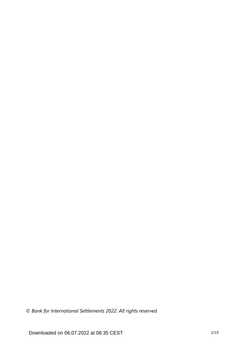*© Bank for International Settlements 2022. All rights reserved.*

Downloaded on 06.07.2022 at 08:35 CEST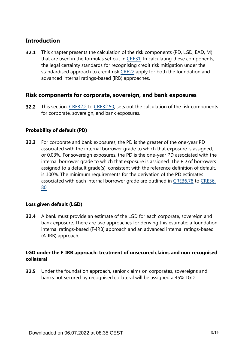## **Introduction**

This chapter presents the calculation of the risk components (PD, LGD, EAD, M) that are used in the formulas set out in [CRE31.](https://www.bis.org/basel_framework/chapter/CRE/31.htm?tldate=20210228&inforce=20191215&published=20191215) In calculating these components, the legal certainty standards for recognising credit risk mitigation under the standardised approach to credit risk [CRE22](https://www.bis.org/basel_framework/chapter/CRE/22.htm?tldate=20210228&inforce=20191215&published=20191215) apply for both the foundation and advanced internal ratings-based (IRB) approaches. **32.1**

## **Risk components for corporate, sovereign, and bank exposures**

**32.2** This section, [CRE32.2](https://www.bis.org/basel_framework/chapter/CRE/32.htm?tldate=20210228&inforce=20191215&published=20191215#paragraph_CRE_32_20191215_32_2) to [CRE32.50,](https://www.bis.org/basel_framework/chapter/CRE/32.htm?tldate=20210228&inforce=20191215&published=20191215#paragraph_CRE_32_20191215_32_50) sets out the calculation of the risk components for corporate, sovereign, and bank exposures.

## **Probability of default (PD)**

For corporate and bank exposures, the PD is the greater of the one-year PD associated with the internal borrower grade to which that exposure is assigned, or 0.03%. For sovereign exposures, the PD is the one-year PD associated with the internal borrower grade to which that exposure is assigned. The PD of borrowers assigned to a default grade(s), consistent with the reference definition of default, is 100%. The minimum requirements for the derivation of the PD estimates associated with each internal borrower grade are outlined in [CRE36.78](https://www.bis.org/basel_framework/chapter/CRE/36.htm?tldate=20210228&inforce=20191215&published=20191215#paragraph_CRE_36_20191215_36_78) to [CRE36.](https://www.bis.org/basel_framework/chapter/CRE/36.htm?tldate=20210228&inforce=20191215&published=20191215#paragraph_CRE_36_20191215_36_80) [80](https://www.bis.org/basel_framework/chapter/CRE/36.htm?tldate=20210228&inforce=20191215&published=20191215#paragraph_CRE_36_20191215_36_80). **32.3**

## **Loss given default (LGD)**

**32.4** A bank must provide an estimate of the LGD for each corporate, sovereign and bank exposure. There are two approaches for deriving this estimate: a foundation internal ratings-based (F-IRB) approach and an advanced internal ratings-based (A-IRB) approach.

## **LGD under the F-IRB approach: treatment of unsecured claims and non-recognised collateral**

Under the foundation approach, senior claims on corporates, sovereigns and banks not secured by recognised collateral will be assigned a 45% LGD. **32.5**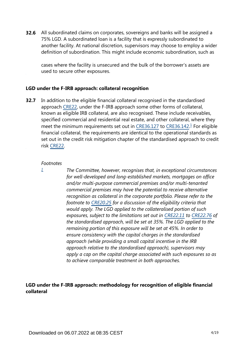**32.6** All subordinated claims on corporates, sovereigns and banks will be assigned a 75% LGD. A subordinated loan is a facility that is expressly subordinated to another facility. At national discretion, supervisors may choose to employ a wider definition of subordination. This might include economic subordination, such as

cases where the facility is unsecured and the bulk of the borrower's assets are used to secure other exposures.

#### **LGD under the F-IRB approach: collateral recognition**

<span id="page-3-1"></span>In addition to the eligible financial collateral recognised in the standardised approach [CRE22,](https://www.bis.org/basel_framework/chapter/CRE/22.htm?tldate=20210228&inforce=20191215&published=20191215) under the F-IRB approach some other forms of collateral, known as eligible IRB collateral, are also recognised. These include receivables, specified commercial and residential real estate, and other collateral, where they meet the minimum requirements set out in [CRE36.127](https://www.bis.org/basel_framework/chapter/CRE/36.htm?tldate=20210228&inforce=20191215&published=20191215#paragraph_CRE_36_20191215_36_127) to [CRE36.142](https://www.bis.org/basel_framework/chapter/CRE/36.htm?tldate=20210228&inforce=20191215&published=20191215#paragraph_CRE_36_20191215_36_142).<sup>[1](#page-3-0)</sup> For eligible financial collateral, the requirements are identical to the operational standards as set out in the credit risk mitigation chapter of the standardised approach to credit risk [CRE22](https://www.bis.org/basel_framework/chapter/CRE/22.htm?tldate=20210228&inforce=20191215&published=20191215). **32.7**

#### *Footnotes*

<span id="page-3-0"></span>*[1](#page-3-1)*

*The Committee, however, recognises that, in exceptional circumstances for well-developed and long-established markets, mortgages on office and/or multi-purpose commercial premises and/or multi-tenanted commercial premises may have the potential to receive alternative recognition as collateral in the corporate portfolio. Please refer to the footnote to [CRE20.25](https://www.bis.org/basel_framework/chapter/CRE/20.htm?tldate=20210228&inforce=20191215&published=20191215#paragraph_CRE_20_20191215_20_25) for a discussion of the eligibility criteria that would apply. The LGD applied to the collateralised portion of such exposures, subject to the limitations set out in [CRE22.11](https://www.bis.org/basel_framework/chapter/CRE/22.htm?tldate=20210228&inforce=20191215&published=20191215#paragraph_CRE_22_20191215_22_11) to [CRE22.76](https://www.bis.org/basel_framework/chapter/CRE/22.htm?tldate=20210228&inforce=20191215&published=20191215#paragraph_CRE_22_20191215_22_76) of the standardised approach, will be set at 35%. The LGD applied to the remaining portion of this exposure will be set at 45%. In order to ensure consistency with the capital charges in the standardised approach (while providing a small capital incentive in the IRB approach relative to the standardised approach), supervisors may apply a cap on the capital charge associated with such exposures so as to achieve comparable treatment in both approaches.*

## **LGD under the F-IRB approach: methodology for recognition of eligible financial collateral**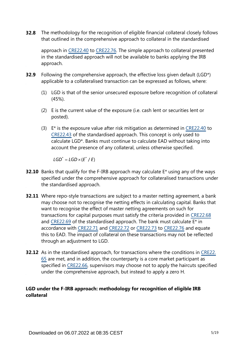**32.8** The methodology for the recognition of eligible financial collateral closely follows that outlined in the comprehensive approach to collateral in the standardised

approach in [CRE22.40](https://www.bis.org/basel_framework/chapter/CRE/22.htm?tldate=20210228&inforce=20191215&published=20191215#paragraph_CRE_22_20191215_22_40) to [CRE22.76](https://www.bis.org/basel_framework/chapter/CRE/22.htm?tldate=20210228&inforce=20191215&published=20191215#paragraph_CRE_22_20191215_22_76). The simple approach to collateral presented in the standardised approach will not be available to banks applying the IRB approach.

- Following the comprehensive approach, the effective loss given default (LGD\*) applicable to a collateralised transaction can be expressed as follows, where: **32.9**
	- (1) LGD is that of the senior unsecured exposure before recognition of collateral (45%).
	- (2) E is the current value of the exposure (i.e. cash lent or securities lent or posted).
	- (3) E\* is the exposure value after risk mitigation as determined in [CRE22.40](https://www.bis.org/basel_framework/chapter/CRE/22.htm?tldate=20210228&inforce=20191215&published=20191215#paragraph_CRE_22_20191215_22_40) to [CRE22.43](https://www.bis.org/basel_framework/chapter/CRE/22.htm?tldate=20210228&inforce=20191215&published=20191215#paragraph_CRE_22_20191215_22_43) of the standardised approach. This concept is only used to calculate LGD\*. Banks must continue to calculate EAD without taking into account the presence of any collateral, unless otherwise specified.

 $LGD^* = LGD \times (E^* / E)$ 

- **32.10** Banks that qualify for the F-IRB approach may calculate E<sup>\*</sup> using any of the ways specified under the comprehensive approach for collateralised transactions under the standardised approach.
- **32.11** Where repo-style transactions are subject to a master netting agreement, a bank may choose not to recognise the netting effects in calculating capital. Banks that want to recognise the effect of master netting agreements on such for transactions for capital purposes must satisfy the criteria provided in [CRE22.68](https://www.bis.org/basel_framework/chapter/CRE/22.htm?tldate=20210228&inforce=20191215&published=20191215#paragraph_CRE_22_20191215_22_68) and [CRE22.69](https://www.bis.org/basel_framework/chapter/CRE/22.htm?tldate=20210228&inforce=20191215&published=20191215#paragraph_CRE_22_20191215_22_69) of the standardised approach. The bank must calculate E\* in accordance with [CRE22.71](https://www.bis.org/basel_framework/chapter/CRE/22.htm?tldate=20210228&inforce=20191215&published=20191215#paragraph_CRE_22_20191215_22_71) and [CRE22.72](https://www.bis.org/basel_framework/chapter/CRE/22.htm?tldate=20210228&inforce=20191215&published=20191215#paragraph_CRE_22_20191215_22_72) or [CRE22.73](https://www.bis.org/basel_framework/chapter/CRE/22.htm?tldate=20210228&inforce=20191215&published=20191215#paragraph_CRE_22_20191215_22_73) to [CRE22.76](https://www.bis.org/basel_framework/chapter/CRE/22.htm?tldate=20210228&inforce=20191215&published=20191215#paragraph_CRE_22_20191215_22_76) and equate this to EAD. The impact of collateral on these transactions may not be reflected through an adjustment to LGD.
- **32.12** As in the standardised approach, for transactions where the conditions in [CRE22.](https://www.bis.org/basel_framework/chapter/CRE/22.htm?tldate=20210228&inforce=20191215&published=20191215#paragraph_CRE_22_20191215_22_65) [65](https://www.bis.org/basel_framework/chapter/CRE/22.htm?tldate=20210228&inforce=20191215&published=20191215#paragraph_CRE_22_20191215_22_65) are met, and in addition, the counterparty is a core market participant as specified in [CRE22.66](https://www.bis.org/basel_framework/chapter/CRE/22.htm?tldate=20210228&inforce=20191215&published=20191215#paragraph_CRE_22_20191215_22_66), supervisors may choose not to apply the haircuts specified under the comprehensive approach, but instead to apply a zero H.

## **LGD under the F-IRB approach: methodology for recognition of eligible IRB collateral**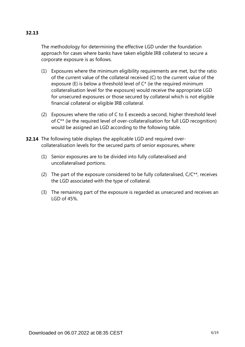## **32.13**

The methodology for determining the effective LGD under the foundation approach for cases where banks have taken eligible IRB collateral to secure a corporate exposure is as follows.

- (1) Exposures where the minimum eligibility requirements are met, but the ratio of the current value of the collateral received (C) to the current value of the exposure (E) is below a threshold level of C\* (ie the required minimum collateralisation level for the exposure) would receive the appropriate LGD for unsecured exposures or those secured by collateral which is not eligible financial collateral or eligible IRB collateral.
- (2) Exposures where the ratio of C to E exceeds a second, higher threshold level of C\*\* (ie the required level of over-collateralisation for full LGD recognition) would be assigned an LGD according to the following table.
- **32.14** The following table displays the applicable LGD and required overcollateralisation levels for the secured parts of senior exposures, where:
	- (1) Senior exposures are to be divided into fully collateralised and uncollateralised portions.
	- (2) The part of the exposure considered to be fully collateralised,  $C/C**$ , receives the LGD associated with the type of collateral.
	- (3) The remaining part of the exposure is regarded as unsecured and receives an LGD of 45%.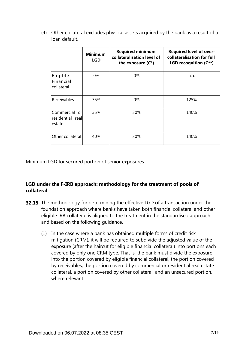(4) Other collateral excludes physical assets acquired by the bank as a result of a loan default.

|                                             | <b>Minimum</b><br>LGD | <b>Required minimum</b><br>collateralisation level of<br>the exposure $(C^*)$ | <b>Required level of over-</b><br>collateralisation for full<br>LGD recognition (C**) |
|---------------------------------------------|-----------------------|-------------------------------------------------------------------------------|---------------------------------------------------------------------------------------|
| Eligible<br>Financial<br>collateral         | 0%                    | $0\%$                                                                         | n.a.                                                                                  |
| Receivables                                 | 35%                   | $0\%$                                                                         | 125%                                                                                  |
| Commercial or<br>residential real<br>estate | 35%                   | 30%                                                                           | 140%                                                                                  |
| Other collateral                            | 40%                   | 30%                                                                           | 140%                                                                                  |

Minimum LGD for secured portion of senior exposures

## **LGD under the F-IRB approach: methodology for the treatment of pools of collateral**

- **32.15** The methodology for determining the effective LGD of a transaction under the foundation approach where banks have taken both financial collateral and other eligible IRB collateral is aligned to the treatment in the standardised approach and based on the following guidance.
	- (1) In the case where a bank has obtained multiple forms of credit risk mitigation (CRM), it will be required to subdivide the adjusted value of the exposure (after the haircut for eligible financial collateral) into portions each covered by only one CRM type. That is, the bank must divide the exposure into the portion covered by eligible financial collateral, the portion covered by receivables, the portion covered by commercial or residential real estate collateral, a portion covered by other collateral, and an unsecured portion, where relevant.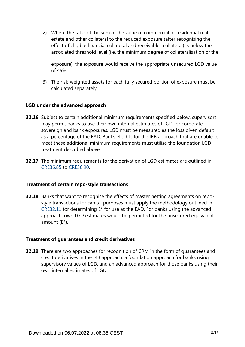(2) Where the ratio of the sum of the value of commercial or residential real estate and other collateral to the reduced exposure (after recognising the effect of eligible financial collateral and receivables collateral) is below the associated threshold level (i.e. the minimum degree of collateralisation of the

exposure), the exposure would receive the appropriate unsecured LGD value of 45%.

(3) The risk-weighted assets for each fully secured portion of exposure must be calculated separately.

## **LGD under the advanced approach**

- **32.16** Subject to certain additional minimum requirements specified below, supervisors may permit banks to use their own internal estimates of LGD for corporate, sovereign and bank exposures. LGD must be measured as the loss given default as a percentage of the EAD. Banks eligible for the IRB approach that are unable to meet these additional minimum requirements must utilise the foundation LGD treatment described above.
- **32.17** The minimum requirements for the derivation of LGD estimates are outlined in [CRE36.85](https://www.bis.org/basel_framework/chapter/CRE/36.htm?tldate=20210228&inforce=20191215&published=20191215#paragraph_CRE_36_20191215_36_85) to [CRE36.90](https://www.bis.org/basel_framework/chapter/CRE/36.htm?tldate=20210228&inforce=20191215&published=20191215#paragraph_CRE_36_20191215_36_90).

## **Treatment of certain repo-style transactions**

**32.18** Banks that want to recognise the effects of master netting agreements on repostyle transactions for capital purposes must apply the methodology outlined in [CRE32.11](https://www.bis.org/basel_framework/chapter/CRE/32.htm?tldate=20210228&inforce=20191215&published=20191215#paragraph_CRE_32_20191215_32_11) for determining E\* for use as the EAD. For banks using the advanced approach, own LGD estimates would be permitted for the unsecured equivalent amount (E\*).

## **Treatment of guarantees and credit derivatives**

**32.19** There are two approaches for recognition of CRM in the form of guarantees and credit derivatives in the IRB approach: a foundation approach for banks using supervisory values of LGD, and an advanced approach for those banks using their own internal estimates of LGD.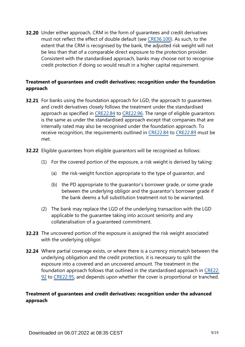**32.20** Under either approach, CRM in the form of guarantees and credit derivatives must not reflect the effect of double default (see [CRE36.100](https://www.bis.org/basel_framework/chapter/CRE/36.htm?tldate=20210228&inforce=20191215&published=20191215#paragraph_CRE_36_20191215_36_100)). As such, to the extent that the CRM is recognised by the bank, the adjusted risk weight will not be less than that of a comparable direct exposure to the protection provider. Consistent with the standardised approach, banks may choose not to recognise credit protection if doing so would result in a higher capital requirement.

## **Treatment of guarantees and credit derivatives: recognition under the foundation approach**

- **32.21** For banks using the foundation approach for LGD, the approach to guarantees and credit derivatives closely follows the treatment under the standardised approach as specified in [CRE22.84](https://www.bis.org/basel_framework/chapter/CRE/22.htm?tldate=20210228&inforce=20191215&published=20191215#paragraph_CRE_22_20191215_22_84) to [CRE22.96.](https://www.bis.org/basel_framework/chapter/CRE/22.htm?tldate=20210228&inforce=20191215&published=20191215#paragraph_CRE_22_20191215_22_96) The range of eligible guarantors is the same as under the standardised approach except that companies that are internally rated may also be recognised under the foundation approach. To receive recognition, the requirements outlined in [CRE22.84](https://www.bis.org/basel_framework/chapter/CRE/22.htm?tldate=20210228&inforce=20191215&published=20191215#paragraph_CRE_22_20191215_22_84) to [CRE22.89](https://www.bis.org/basel_framework/chapter/CRE/22.htm?tldate=20210228&inforce=20191215&published=20191215#paragraph_CRE_22_20191215_22_89) must be met.
- **32.22** Eligible guarantees from eligible guarantors will be recognised as follows:
	- (1) For the covered portion of the exposure, a risk weight is derived by taking:
		- (a) the risk-weight function appropriate to the type of guarantor, and
		- (b) the PD appropriate to the guarantor's borrower grade, or some grade between the underlying obligor and the guarantor's borrower grade if the bank deems a full substitution treatment not to be warranted.
	- (2) The bank may replace the LGD of the underlying transaction with the LGD applicable to the guarantee taking into account seniority and any collateralisation of a guaranteed commitment.
- **32.23** The uncovered portion of the exposure is assigned the risk weight associated with the underlying obligor.
- **32.24** Where partial coverage exists, or where there is a currency mismatch between the underlying obligation and the credit protection, it is necessary to split the exposure into a covered and an uncovered amount. The treatment in the foundation approach follows that outlined in the standardised approach in [CRE22.](https://www.bis.org/basel_framework/chapter/CRE/22.htm?tldate=20210228&inforce=20191215&published=20191215#paragraph_CRE_22_20191215_22_92) [92](https://www.bis.org/basel_framework/chapter/CRE/22.htm?tldate=20210228&inforce=20191215&published=20191215#paragraph_CRE_22_20191215_22_92) to [CRE22.95,](https://www.bis.org/basel_framework/chapter/CRE/22.htm?tldate=20210228&inforce=20191215&published=20191215#paragraph_CRE_22_20191215_22_95) and depends upon whether the cover is proportional or tranched.

## **Treatment of guarantees and credit derivatives: recognition under the advanced approach**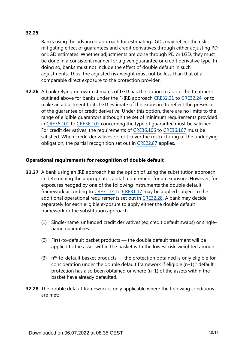## **32.25**

Banks using the advanced approach for estimating LGDs may reflect the riskmitigating effect of guarantees and credit derivatives through either adjusting PD or LGD estimates. Whether adjustments are done through PD or LGD, they must be done in a consistent manner for a given guarantee or credit derivative type. In doing so, banks must not include the effect of double default in such adjustments. Thus, the adjusted risk weight must not be less than that of a comparable direct exposure to the protection provider.

**32.26** A bank relying on own-estimates of LGD has the option to adopt the treatment outlined above for banks under the F-IRB approach [CRE32.21](https://www.bis.org/basel_framework/chapter/CRE/32.htm?tldate=20210228&inforce=20191215&published=20191215#paragraph_CRE_32_20191215_32_21) to [CRE32.24](https://www.bis.org/basel_framework/chapter/CRE/32.htm?tldate=20210228&inforce=20191215&published=20191215#paragraph_CRE_32_20191215_32_24), or to make an adjustment to its LGD estimate of the exposure to reflect the presence of the guarantee or credit derivative. Under this option, there are no limits to the range of eligible guarantors although the set of minimum requirements provided in [CRE36.101](https://www.bis.org/basel_framework/chapter/CRE/36.htm?tldate=20210228&inforce=20191215&published=20191215#paragraph_CRE_36_20191215_36_101) to [CRE36.102](https://www.bis.org/basel_framework/chapter/CRE/36.htm?tldate=20210228&inforce=20191215&published=20191215#paragraph_CRE_36_20191215_36_102) concerning the type of guarantee must be satisfied. For credit derivatives, the requirements of [CRE36.106](https://www.bis.org/basel_framework/chapter/CRE/36.htm?tldate=20210228&inforce=20191215&published=20191215#paragraph_CRE_36_20191215_36_106) to [CRE36.107](https://www.bis.org/basel_framework/chapter/CRE/36.htm?tldate=20210228&inforce=20191215&published=20191215#paragraph_CRE_36_20191215_36_107) must be satisfied. When credit derivatives do not cover the restructuring of the underlying obligation, the partial recognition set out in [CRE22.87](https://www.bis.org/basel_framework/chapter/CRE/22.htm?tldate=20210228&inforce=20191215&published=20191215#paragraph_CRE_22_20191215_22_87) applies.

## **Operational requirements for recognition of double default**

- **32.27** A bank using an IRB approach has the option of using the substitution approach in determining the appropriate capital requirement for an exposure. However, for exposures hedged by one of the following instruments the double default framework according to [CRE31.14](https://www.bis.org/basel_framework/chapter/CRE/31.htm?tldate=20210228&inforce=20191215&published=20191215#paragraph_CRE_31_20191215_31_14) to [CRE31.17](https://www.bis.org/basel_framework/chapter/CRE/31.htm?tldate=20210228&inforce=20191215&published=20191215#paragraph_CRE_31_20191215_31_17) may be applied subject to the additional operational requirements set out in [CRE32.28](https://www.bis.org/basel_framework/chapter/CRE/32.htm?tldate=20210228&inforce=20191215&published=20191215#paragraph_CRE_32_20191215_32_28). A bank may decide separately for each eligible exposure to apply either the double default framework or the substitution approach.
	- (1) Single-name, unfunded credit derivatives (eg credit default swaps) or singlename guarantees.
	- (2) First-to-default basket products the double default treatment will be applied to the asset within the basket with the lowest risk-weighted amount.
	- $(3)$  n<sup>th-to-default basket products the protection obtained is only eligible for</sup> consideration under the double default framework if eligible  $(n-1)$ <sup>th</sup> default protection has also been obtained or where (n–1) of the assets within the basket have already defaulted.
- **32.28** The double default framework is only applicable where the following conditions are met: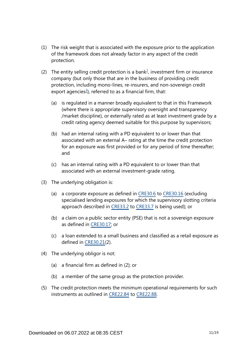- (1) The risk weight that is associated with the exposure prior to the application of the framework does not already factor in any aspect of the credit protection.
- <span id="page-10-1"></span><span id="page-10-0"></span>([2](#page-11-0)) The entity selling credit protection is a bank<sup>2</sup>, investment firm or insurance company (but only those that are in the business of providing credit protection, including mono-lines, re-insurers, and non-sovereign credit export agencies<sup>[3](#page-11-1)</sup>), referred to as a financial firm, that:
	- (a) is regulated in a manner broadly equivalent to that in this Framework (where there is appropriate supervisory oversight and transparency /market discipline), or externally rated as at least investment grade by a credit rating agency deemed suitable for this purpose by supervisors;
	- (b) had an internal rating with a PD equivalent to or lower than that associated with an external A– rating at the time the credit protection for an exposure was first provided or for any period of time thereafter; and
	- (c) has an internal rating with a PD equivalent to or lower than that associated with an external investment-grade rating.
- (3) The underlying obligation is:
	- (a) a corporate exposure as defined in [CRE30.6](https://www.bis.org/basel_framework/chapter/CRE/30.htm?tldate=20210228&inforce=20191215&published=20191215#paragraph_CRE_30_20191215_30_6) to [CRE30.16](https://www.bis.org/basel_framework/chapter/CRE/30.htm?tldate=20210228&inforce=20191215&published=20191215#paragraph_CRE_30_20191215_30_16) (excluding specialised lending exposures for which the supervisory slotting criteria approach described in [CRE33.2](https://www.bis.org/basel_framework/chapter/CRE/33.htm?tldate=20210228&inforce=20191215&published=20191215#paragraph_CRE_33_20191215_33_2) to [CRE33.7](https://www.bis.org/basel_framework/chapter/CRE/33.htm?tldate=20210228&inforce=20191215&published=20191215#paragraph_CRE_33_20191215_33_7) is being used); or
	- (b) a claim on a public sector entity (PSE) that is not a sovereign exposure as defined in [CRE30.17;](https://www.bis.org/basel_framework/chapter/CRE/30.htm?tldate=20210228&inforce=20191215&published=20191215#paragraph_CRE_30_20191215_30_17) or
	- (c) a loan extended to a small business and classified as a retail exposure as defined in [CRE30.21](https://www.bis.org/basel_framework/chapter/CRE/30.htm?tldate=20210228&inforce=20191215&published=20191215#paragraph_CRE_30_20191215_30_21)(2).
- (4) The underlying obligor is not:
	- (a) a financial firm as defined in (2); or
	- (b) a member of the same group as the protection provider.
- (5) The credit protection meets the minimum operational requirements for such instruments as outlined in [CRE22.84](https://www.bis.org/basel_framework/chapter/CRE/22.htm?tldate=20210228&inforce=20191215&published=20191215#paragraph_CRE_22_20191215_22_84) to [CRE22.88.](https://www.bis.org/basel_framework/chapter/CRE/22.htm?tldate=20210228&inforce=20191215&published=20191215#paragraph_CRE_22_20191215_22_88)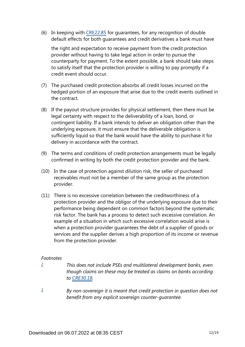(6) In keeping with [CRE22.85](https://www.bis.org/basel_framework/chapter/CRE/22.htm?tldate=20210228&inforce=20191215&published=20191215#paragraph_CRE_22_20191215_22_85) for guarantees, for any recognition of double default effects for both guarantees and credit derivatives a bank must have

the right and expectation to receive payment from the credit protection provider without having to take legal action in order to pursue the counterparty for payment. To the extent possible, a bank should take steps to satisfy itself that the protection provider is willing to pay promptly if a credit event should occur.

- (7) The purchased credit protection absorbs all credit losses incurred on the hedged portion of an exposure that arise due to the credit events outlined in the contract.
- (8) If the payout structure provides for physical settlement, then there must be legal certainty with respect to the deliverability of a loan, bond, or contingent liability. If a bank intends to deliver an obligation other than the underlying exposure, it must ensure that the deliverable obligation is sufficiently liquid so that the bank would have the ability to purchase it for delivery in accordance with the contract.
- (9) The terms and conditions of credit protection arrangements must be legally confirmed in writing by both the credit protection provider and the bank.
- (10) In the case of protection against dilution risk, the seller of purchased receivables must not be a member of the same group as the protection provider.
- (11) There is no excessive correlation between the creditworthiness of a protection provider and the obligor of the underlying exposure due to their performance being dependent on common factors beyond the systematic risk factor. The bank has a process to detect such excessive correlation. An example of a situation in which such excessive correlation would arise is when a protection provider guarantees the debt of a supplier of goods or services and the supplier derives a high proportion of its income or revenue from the protection provider.

## *Footnotes*

<span id="page-11-0"></span>*[2](#page-10-0)*

*This does not include PSEs and multilateral development banks, even though claims on these may be treated as claims on banks according to [CRE30.18](https://www.bis.org/basel_framework/chapter/CRE/30.htm?tldate=20210228&inforce=20191215&published=20191215#paragraph_CRE_30_20191215_30_18).*

<span id="page-11-1"></span>*By non-sovereign it is meant that credit protection in question does not benefit from any explicit sovereign counter-guarantee. [3](#page-10-1)*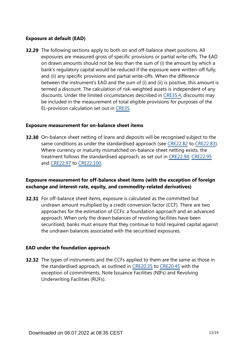## **Exposure at default (EAD)**

**32.29** The following sections apply to both on and off-balance sheet positions. All exposures are measured gross of specific provisions or partial write-offs. The EAD on drawn amounts should not be less than the sum of (i) the amount by which a bank's regulatory capital would be reduced if the exposure were written-off fully, and (ii) any specific provisions and partial write-offs. When the difference between the instrument's EAD and the sum of (i) and (ii) is positive, this amount is termed a discount. The calculation of risk-weighted assets is independent of any discounts. Under the limited circumstances described in [CRE35.4,](https://www.bis.org/basel_framework/chapter/CRE/35.htm?tldate=20210228&inforce=20191215&published=20191215#paragraph_CRE_35_20191215_35_4) discounts may be included in the measurement of total eligible provisions for purposes of the EL-provision calculation set out in [CRE35.](https://www.bis.org/basel_framework/chapter/CRE/35.htm?tldate=20210228&inforce=20191215&published=20191215)

#### **Exposure measurement for on-balance sheet items**

**32.30** On-balance sheet netting of loans and deposits will be recognised subject to the same conditions as under the standardised approach (see [CRE22.82](https://www.bis.org/basel_framework/chapter/CRE/22.htm?tldate=20210228&inforce=20191215&published=20191215#paragraph_CRE_22_20191215_22_82) to [CRE22.83](https://www.bis.org/basel_framework/chapter/CRE/22.htm?tldate=20210228&inforce=20191215&published=20191215#paragraph_CRE_22_20191215_22_83)). Where currency or maturity mismatched on-balance sheet netting exists, the treatment follows the standardised approach, as set out in [CRE22.94,](https://www.bis.org/basel_framework/chapter/CRE/22.htm?tldate=20210228&inforce=20191215&published=20191215#paragraph_CRE_22_20191215_22_94) [CRE22.95](https://www.bis.org/basel_framework/chapter/CRE/22.htm?tldate=20210228&inforce=20191215&published=20191215#paragraph_CRE_22_20191215_22_95) and [CRE22.97](https://www.bis.org/basel_framework/chapter/CRE/22.htm?tldate=20210228&inforce=20191215&published=20191215#paragraph_CRE_22_20191215_22_97) to [CRE22.100.](https://www.bis.org/basel_framework/chapter/CRE/22.htm?tldate=20210228&inforce=20191215&published=20191215#paragraph_CRE_22_20191215_22_100)

## **Exposure measurement for off-balance sheet items (with the exception of foreign exchange and interest-rate, equity, and commodity-related derivatives)**

**32.31** For off-balance sheet items, exposure is calculated as the committed but undrawn amount multiplied by a credit conversion factor (CCF). There are two approaches for the estimation of CCFs: a foundation approach and an advanced approach. When only the drawn balances of revolving facilities have been securitised, banks must ensure that they continue to hold required capital against the undrawn balances associated with the securitised exposures.

#### **EAD under the foundation approach**

**32.32** The types of instruments and the CCFs applied to them are the same as those in the standardised approach, as outlined in [CRE20.35](https://www.bis.org/basel_framework/chapter/CRE/20.htm?tldate=20210228&inforce=20191215&published=20191215#paragraph_CRE_20_20191215_20_35) to [CRE20.45](https://www.bis.org/basel_framework/chapter/CRE/20.htm?tldate=20210228&inforce=20191215&published=20191215#paragraph_CRE_20_20191215_20_45) with the exception of commitments, Note Issuance Facilities (NIFs) and Revolving Underwriting Facilities (RUFs).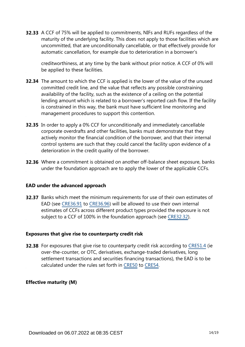**32.33** A CCF of 75% will be applied to commitments, NIFs and RUFs regardless of the maturity of the underlying facility. This does not apply to those facilities which are uncommitted, that are unconditionally cancellable, or that effectively provide for automatic cancellation, for example due to deterioration in a borrower's

creditworthiness, at any time by the bank without prior notice. A CCF of 0% will be applied to these facilities.

- **32.34** The amount to which the CCF is applied is the lower of the value of the unused committed credit line, and the value that reflects any possible constraining availability of the facility, such as the existence of a ceiling on the potential lending amount which is related to a borrower's reported cash flow. If the facility is constrained in this way, the bank must have sufficient line monitoring and management procedures to support this contention.
- **32.35** In order to apply a 0% CCF for unconditionally and immediately cancellable corporate overdrafts and other facilities, banks must demonstrate that they actively monitor the financial condition of the borrower, and that their internal control systems are such that they could cancel the facility upon evidence of a deterioration in the credit quality of the borrower.
- **32.36** Where a commitment is obtained on another off-balance sheet exposure, banks under the foundation approach are to apply the lower of the applicable CCFs.

## **EAD under the advanced approach**

**32.37** Banks which meet the minimum requirements for use of their own estimates of EAD (see [CRE36.91](https://www.bis.org/basel_framework/chapter/CRE/36.htm?tldate=20210228&inforce=20191215&published=20191215#paragraph_CRE_36_20191215_36_91) to [CRE36.96](https://www.bis.org/basel_framework/chapter/CRE/36.htm?tldate=20210228&inforce=20191215&published=20191215#paragraph_CRE_36_20191215_36_96)) will be allowed to use their own internal estimates of CCFs across different product types provided the exposure is not subject to a CCF of 100% in the foundation approach (see [CRE32.32\)](https://www.bis.org/basel_framework/chapter/CRE/32.htm?tldate=20210228&inforce=20191215&published=20191215#paragraph_CRE_32_20191215_32_32).

#### **Exposures that give rise to counterparty credit risk**

**32.38** For exposures that give rise to counterparty credit risk according to [CRE51.4](https://www.bis.org/basel_framework/chapter/CRE/51.htm?tldate=20210228&inforce=20191215&published=20191215#paragraph_CRE_51_20191215_51_4) (ie over-the-counter, or OTC, derivatives, exchange-traded derivatives, long settlement transactions and securities financing transactions), the EAD is to be calculated under the rules set forth in [CRE50](https://www.bis.org/basel_framework/chapter/CRE/50.htm?tldate=20210228&inforce=20191215&published=20191215) to [CRE54](https://www.bis.org/basel_framework/chapter/CRE/54.htm?tldate=20210228&inforce=20191215&published=20191215).

## **Effective maturity (M)**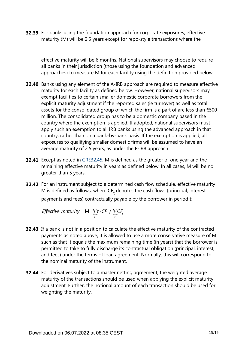**32.39** For banks using the foundation approach for corporate exposures, effective maturity (M) will be 2.5 years except for repo-style transactions where the

effective maturity will be 6 months. National supervisors may choose to require all banks in their jurisdiction (those using the foundation and advanced approaches) to measure M for each facility using the definition provided below.

- **32.40** Banks using any element of the A-IRB approach are required to measure effective maturity for each facility as defined below. However, national supervisors may exempt facilities to certain smaller domestic corporate borrowers from the explicit maturity adjustment if the reported sales (ie turnover) as well as total assets for the consolidated group of which the firm is a part of are less than  $\epsilon$ 500 million. The consolidated group has to be a domestic company based in the country where the exemption is applied. If adopted, national supervisors must apply such an exemption to all IRB banks using the advanced approach in that country, rather than on a bank-by-bank basis. If the exemption is applied, all exposures to qualifying smaller domestic firms will be assumed to have an average maturity of 2.5 years, as under the F-IRB approach.
- **32.41** Except as noted in [CRE32.45,](https://www.bis.org/basel_framework/chapter/CRE/32.htm?tldate=20210228&inforce=20191215&published=20191215#paragraph_CRE_32_20191215_32_45) M is defined as the greater of one year and the remaining effective maturity in years as defined below. In all cases, M will be no greater than 5 years.
- **32.42** For an instrument subject to a determined cash flow schedule, effective maturity M is defined as follows, where  $CF<sub>t</sub>$  denotes the cash flows (principal, interest payments and fees) contractually payable by the borrower in period t:

*Effective maturity* = M =  $\sum_{t} t \cdot CF_t / \sum_{t} CF_t$ 

- **32.43** If a bank is not in a position to calculate the effective maturity of the contracted payments as noted above, it is allowed to use a more conservative measure of M such as that it equals the maximum remaining time (in years) that the borrower is permitted to take to fully discharge its contractual obligation (principal, interest, and fees) under the terms of loan agreement. Normally, this will correspond to the nominal maturity of the instrument.
- **32.44** For derivatives subject to a master netting agreement, the weighted average maturity of the transactions should be used when applying the explicit maturity adjustment. Further, the notional amount of each transaction should be used for weighting the maturity.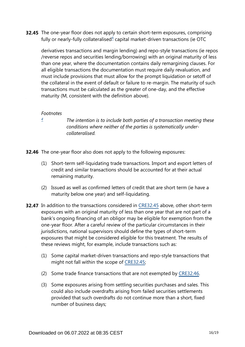<span id="page-15-1"></span>**32.45** The one-year floor does not apply to certain short-term exposures, comprising fully or nearly-fully collateralised<sup>[4](#page-15-0)</sup> capital market-driven transactions (ie OTC

derivatives transactions and margin lending) and repo-style transactions (ie repos /reverse repos and securities lending/borrowing) with an original maturity of less than one year, where the documentation contains daily remargining clauses. For all eligible transactions the documentation must require daily revaluation, and must include provisions that must allow for the prompt liquidation or setoff of the collateral in the event of default or failure to re-margin. The maturity of such transactions must be calculated as the greater of one-day, and the effective maturity (M, consistent with the definition above).

#### *Footnotes*

<span id="page-15-0"></span>*[4](#page-15-1)*

*The intention is to include both parties of a transaction meeting these conditions where neither of the parties is systematically undercollateralised.*

- **32.46** The one-year floor also does not apply to the following exposures:
	- (1) Short-term self-liquidating trade transactions. Import and export letters of credit and similar transactions should be accounted for at their actual remaining maturity.
	- (2) Issued as well as confirmed letters of credit that are short term (ie have a maturity below one year) and self-liquidating.
- **32.47** In addition to the transactions considered in [CRE32.45](https://www.bis.org/basel_framework/chapter/CRE/32.htm?tldate=20210228&inforce=20191215&published=20191215#paragraph_CRE_32_20191215_32_45) above, other short-term exposures with an original maturity of less than one year that are not part of a bank's ongoing financing of an obligor may be eligible for exemption from the one-year floor. After a careful review of the particular circumstances in their jurisdictions, national supervisors should define the types of short-term exposures that might be considered eligible for this treatment. The results of these reviews might, for example, include transactions such as:
	- (1) Some capital market-driven transactions and repo-style transactions that might not fall within the scope of [CRE32.45](https://www.bis.org/basel_framework/chapter/CRE/32.htm?tldate=20210228&inforce=20191215&published=20191215#paragraph_CRE_32_20191215_32_45);
	- (2) Some trade finance transactions that are not exempted by [CRE32.46.](https://www.bis.org/basel_framework/chapter/CRE/32.htm?tldate=20210228&inforce=20191215&published=20191215#paragraph_CRE_32_20191215_32_46)
	- (3) Some exposures arising from settling securities purchases and sales. This could also include overdrafts arising from failed securities settlements provided that such overdrafts do not continue more than a short, fixed number of business days;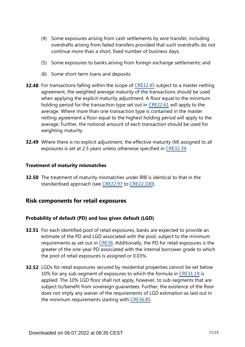- (4) Some exposures arising from cash settlements by wire transfer, including overdrafts arising from failed transfers provided that such overdrafts do not continue more than a short, fixed number of business days;
- (5) Some exposures to banks arising from foreign exchange settlements; and
- (6) Some short-term loans and deposits.
- **32.48** For transactions falling within the scope of [CRE32.45](https://www.bis.org/basel_framework/chapter/CRE/32.htm?tldate=20210228&inforce=20191215&published=20191215#paragraph_CRE_32_20191215_32_45) subject to a master netting agreement, the weighted average maturity of the transactions should be used when applying the explicit maturity adjustment. A floor equal to the minimum holding period for the transaction type set out in [CRE22.61](https://www.bis.org/basel_framework/chapter/CRE/22.htm?tldate=20210228&inforce=20191215&published=20191215#paragraph_CRE_22_20191215_22_61) will apply to the average. Where more than one transaction type is contained in the master netting agreement a floor equal to the highest holding period will apply to the average. Further, the notional amount of each transaction should be used for weighting maturity.
- **32.49** Where there is no explicit adjustment, the effective maturity (M) assigned to all exposures is set at 2.5 years unless otherwise specified in [CRE32.39](https://www.bis.org/basel_framework/chapter/CRE/32.htm?tldate=20210228&inforce=20191215&published=20191215#paragraph_CRE_32_20191215_32_39).

## **Treatment of maturity mismatches**

**32.50** The treatment of maturity mismatches under IRB is identical to that in the standardised approach (see [CRE22.97](https://www.bis.org/basel_framework/chapter/CRE/22.htm?tldate=20210228&inforce=20191215&published=20191215#paragraph_CRE_22_20191215_22_97) to [CRE22.100](https://www.bis.org/basel_framework/chapter/CRE/22.htm?tldate=20210228&inforce=20191215&published=20191215#paragraph_CRE_22_20191215_22_100)).

## **Risk components for retail exposures**

## **Probability of default (PD) and loss given default (LGD)**

- **32.51** For each identified pool of retail exposures, banks are expected to provide an estimate of the PD and LGD associated with the pool, subject to the minimum requirements as set out in [CRE36](https://www.bis.org/basel_framework/chapter/CRE/36.htm?tldate=20210228&inforce=20191215&published=20191215). Additionally, the PD for retail exposures is the greater of the one-year PD associated with the internal borrower grade to which the pool of retail exposures is assigned or 0.03%.
- **32.52** LGDs for retail exposures secured by residential properties cannot be set below 10% for any sub-segment of exposures to which the formula in [CRE31.19](https://www.bis.org/basel_framework/chapter/CRE/31.htm?tldate=20210228&inforce=20191215&published=20191215#paragraph_CRE_31_20191215_31_19) is applied. The 10% LGD floor shall not apply, however, to sub-segments that are subject to/benefit from sovereign guarantees. Further, the existence of the floor does not imply any waiver of the requirements of LGD estimation as laid out in the minimum requirements starting with [CRE36.85.](https://www.bis.org/basel_framework/chapter/CRE/36.htm?tldate=20210228&inforce=20191215&published=20191215#paragraph_CRE_36_20191215_36_85)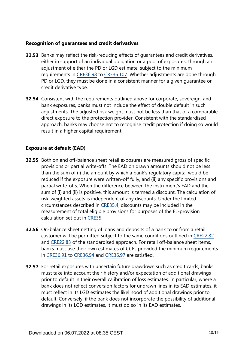### **Recognition of guarantees and credit derivatives**

- **32.53** Banks may reflect the risk-reducing effects of guarantees and credit derivatives, either in support of an individual obligation or a pool of exposures, through an adjustment of either the PD or LGD estimate, subject to the minimum requirements in [CRE36.98](https://www.bis.org/basel_framework/chapter/CRE/36.htm?tldate=20210228&inforce=20191215&published=20191215#paragraph_CRE_36_20191215_36_98) to [CRE36.107](https://www.bis.org/basel_framework/chapter/CRE/36.htm?tldate=20210228&inforce=20191215&published=20191215#paragraph_CRE_36_20191215_36_107). Whether adjustments are done through PD or LGD, they must be done in a consistent manner for a given guarantee or credit derivative type.
- **32.54** Consistent with the requirements outlined above for corporate, sovereign, and bank exposures, banks must not include the effect of double default in such adjustments. The adjusted risk weight must not be less than that of a comparable direct exposure to the protection provider. Consistent with the standardised approach, banks may choose not to recognise credit protection if doing so would result in a higher capital requirement.

## **Exposure at default (EAD)**

- **32.55** Both on and off-balance sheet retail exposures are measured gross of specific provisions or partial write-offs. The EAD on drawn amounts should not be less than the sum of (i) the amount by which a bank's regulatory capital would be reduced if the exposure were written-off fully, and (ii) any specific provisions and partial write-offs. When the difference between the instrument's EAD and the sum of (i) and (ii) is positive, this amount is termed a discount. The calculation of risk-weighted assets is independent of any discounts. Under the limited circumstances described in [CRE35.4,](https://www.bis.org/basel_framework/chapter/CRE/35.htm?tldate=20210228&inforce=20191215&published=20191215#paragraph_CRE_35_20191215_35_4) discounts may be included in the measurement of total eligible provisions for purposes of the EL-provision calculation set out in [CRE35](https://www.bis.org/basel_framework/chapter/CRE/35.htm?tldate=20210228&inforce=20191215&published=20191215).
- **32.56** On-balance sheet netting of loans and deposits of a bank to or from a retail customer will be permitted subject to the same conditions outlined in [CRE22.82](https://www.bis.org/basel_framework/chapter/CRE/22.htm?tldate=20210228&inforce=20191215&published=20191215#paragraph_CRE_22_20191215_22_82) and [CRE22.83](https://www.bis.org/basel_framework/chapter/CRE/22.htm?tldate=20210228&inforce=20191215&published=20191215#paragraph_CRE_22_20191215_22_83) of the standardised approach. For retail off-balance sheet items, banks must use their own estimates of CCFs provided the minimum requirements in [CRE36.91](https://www.bis.org/basel_framework/chapter/CRE/36.htm?tldate=20210228&inforce=20191215&published=20191215#paragraph_CRE_36_20191215_36_91) to [CRE36.94](https://www.bis.org/basel_framework/chapter/CRE/36.htm?tldate=20210228&inforce=20191215&published=20191215#paragraph_CRE_36_20191215_36_94) and [CRE36.97](https://www.bis.org/basel_framework/chapter/CRE/36.htm?tldate=20210228&inforce=20191215&published=20191215#paragraph_CRE_36_20191215_36_97) are satisfied.
- **32.57** For retail exposures with uncertain future drawdown such as credit cards, banks must take into account their history and/or expectation of additional drawings prior to default in their overall calibration of loss estimates. In particular, where a bank does not reflect conversion factors for undrawn lines in its EAD estimates, it must reflect in its LGD estimates the likelihood of additional drawings prior to default. Conversely, if the bank does not incorporate the possibility of additional drawings in its LGD estimates, it must do so in its EAD estimates.